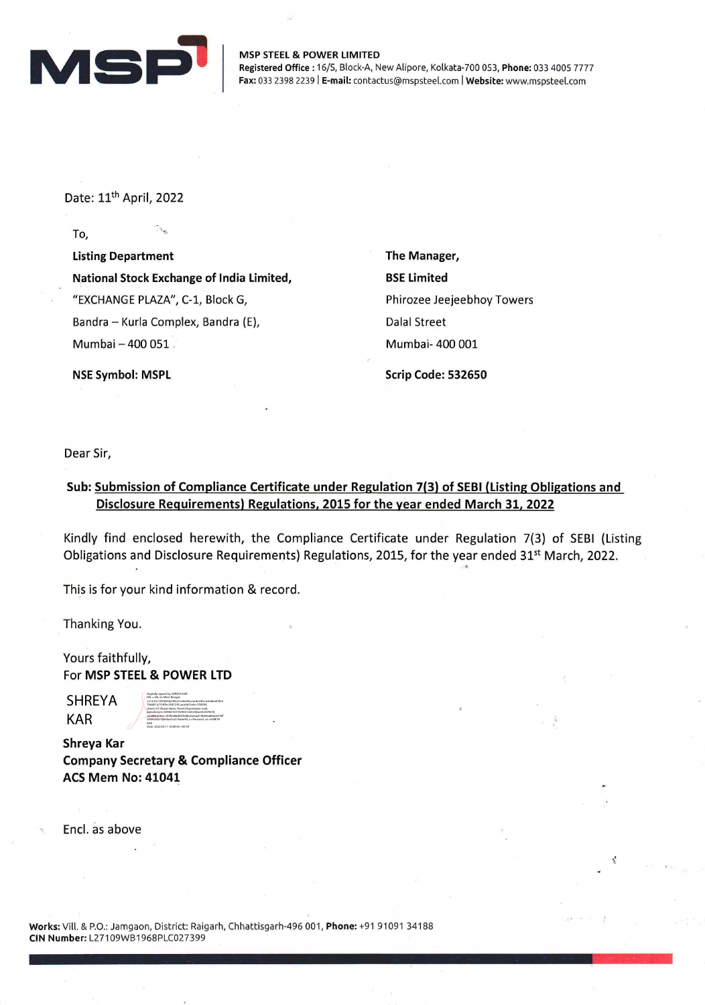

MSP STEEL & POWER LIMITED Registered Office: 16/S, Block-A, New Alipore, Kolkata-700 053, Phone: 033 4005 7777 Fax: 033 2398 2239 | E-mail: contactus@mspsteel.com | Website: www.mspsteel.com

Date: 11<sup>th</sup> April, 2022

To,

Listing Department National Stock Exchange of India Limited, "EXCHANGE PLAZA", C-1, Block G, Bandra - Kurla Complex, Bandra (E), Mumbai - 400 051

The Manager, BSE Limited Phirozee Jeejeebhoy Towers Dalal Street Mumbai- 400 001

NSE Symbol: MSPL

Scrip Code: 532650

Dear Sir,

## Sub: Submission of Compliance Certificate under Regulation 7(3) of SEBI (Listing Obligations and Disclosure Requirements) Regulations, 2015 for the year ended March 31, 2022

Kindly find enclosed herewith, the Compliance Certificate under Regulation 7(3) of SEBI (Listing Obligations and Disclosure Requirements) Regulations, 2015, for the year ended 31<sup>st</sup> March, 2022. •

This is for your kind information & record.

Thanking You.

Yours faithfully, For MSP STEEL & POWER LTD

SHREYA KAR

DN: c=IN, st=West Bengal, 2.5.4.20=7950044a299c01e4e056c2ac8e24fcc2a568eef3fe4 79dd01a7518fec2587239, postalCode=700004, street=57,Shyam Bazar Street,Shyambazar mail, pseudonym=5858d16514e94e1cb5e4dace62329e50, serialNumber=5fef0a88d54458be5a4aa419b89ad86d2cf30f 03685a0a17b69ad7ca316ade93, o=Personal, cn=SHREYA KAR Date: 2022.04.11 18:00:40 +05'30'

Digitally signed by SHREYA KAR

Shreya Kar Company Secretary & Compliance Officer ACS Mem No: 41041

Encl. as above

Works: Vill. & P.O.: Jamgaon, District: Raigarh, Chhattisgarh-496 001, Phone: +91 91091 34188 CIN Number: L27109WB1968PLC027399